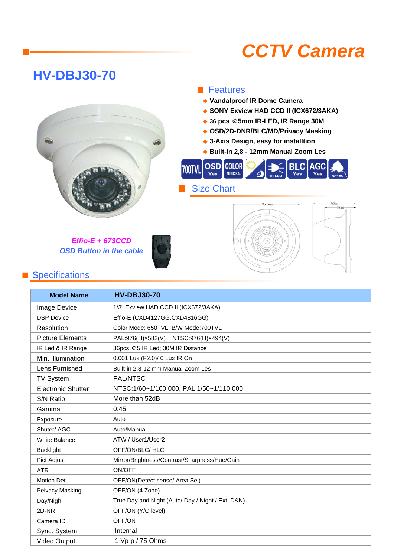# *CCTV Camera*

## **HV-DBJ30-70**

■



*Effio-E + 673CCD OSD Button in the cable*



### ■ Specifications

#### **Model Name** Image Device DSP Device Resolution Picture Elements IR Led & IR Range Min. Illumination Lens Furnished TV System Electronic Shutter S/N Ratio Gamma Exposure Shuter/ AGC White Balance Backlight Pict Adjust ATR Motion Det Peivacy Masking Day/Nigh 2D-NR Camera ID Sync. System Video Output Mirror/Brightness/Contrast/Sharpness/Hue/Gain ON/OFF Auto/Manual OFF/ON(Detect sense/ Area Sel) OFF/ON (4 Zone) True Day and Night (Auto/ Day / Night / Ext. D&N) OFF/ON (Y/C level) OFF/ON More than 52dB ATW / User1/User2 OFF/ON/BLC/ HLC PAL/NTSC NTSC:1/60~1/100,000, PAL:1/50~1/110,000 0.45 Auto  **HV-DBJ30-70** 36pcs ¢5 IR Led; 30M IR Distance 0.001 Lux (F2.0)/ 0 Lux IR On Built-in 2,8-12 mm Manual Zoom Les 1/3" Exview HAD CCD II (ICX672/3AKA) Effio-E (CXD4127GG,CXD4816GG) Color Mode: 650TVL; B/W Mode:700TVL PAL:976(H)×582(V) NTSC:976(H)×494(V) Internal 1 Vp-p / 75 Ohms

#### ■ Features

- ◆ **Vandalproof IR Dome Camera**
- ◆ **SONY Exview HAD CCD II (ICX672/3AKA)**
- ◆ **36 pcs** ¢**5mm IR-LED, IR Range 30M**
- ◆ **OSD/2D-DNR/BLC/MD/Privacy Masking**
- ◆ **3-Axis Design, easy for installtion**
- ◆ **Built-in 2,8 12mm Manual Zoom Les**



 $135.5$